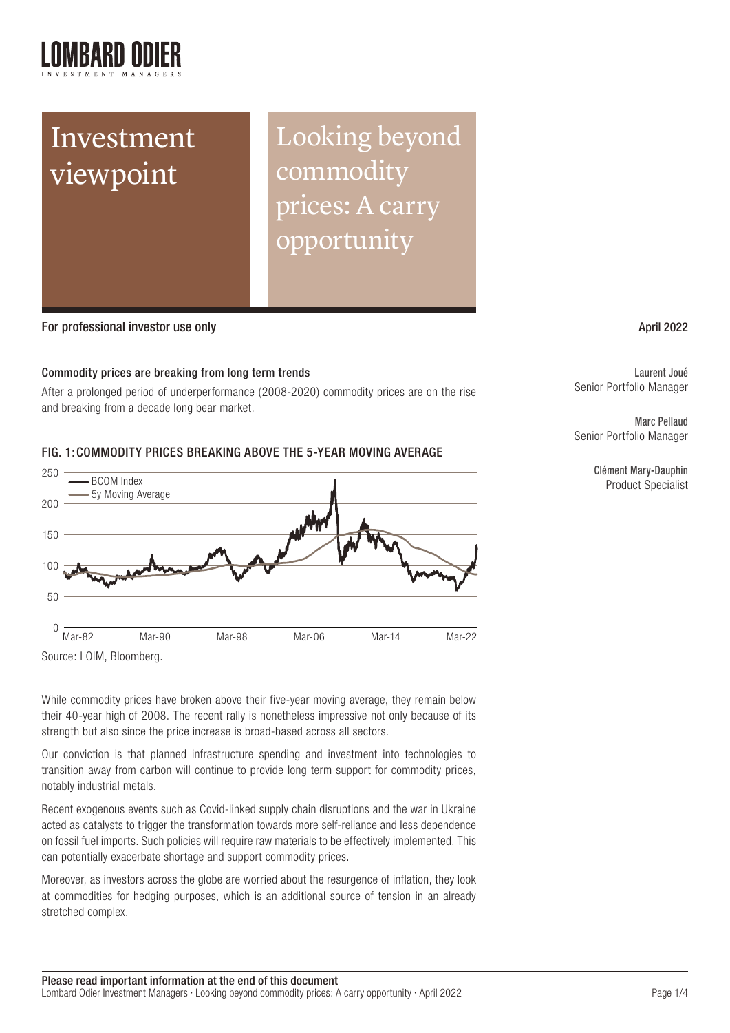

# Investment viewpoint

Looking beyond commodity prices: A carry opportunity

### For professional investor use only April 2022 and the state of the state of the state of the state of the state of the state of the state of the state of the state of the state of the state of the state of the state of the

#### Commodity prices are breaking from long term trends

After a prolonged period of underperformance (2008-2020) commodity prices are on the rise and breaking from a decade long bear market.

## FIG. 1:COMMODITY PRICES BREAKING ABOVE THE 5-YEAR MOVING AVERAGE



While commodity prices have broken above their five-year moving average, they remain below their 40-year high of 2008. The recent rally is nonetheless impressive not only because of its strength but also since the price increase is broad-based across all sectors.

Our conviction is that planned infrastructure spending and investment into technologies to transition away from carbon will continue to provide long term support for commodity prices, notably industrial metals.

Recent exogenous events such as Covid-linked supply chain disruptions and the war in Ukraine acted as catalysts to trigger the transformation towards more self-reliance and less dependence on fossil fuel imports. Such policies will require raw materials to be effectively implemented. This can potentially exacerbate shortage and support commodity prices.

Moreover, as investors across the globe are worried about the resurgence of inflation, they look at commodities for hedging purposes, which is an additional source of tension in an already stretched complex.

Laurent Joué Senior Portfolio Manager

Marc Pellaud Senior Portfolio Manager

> Clément Mary-Dauphin Product Specialist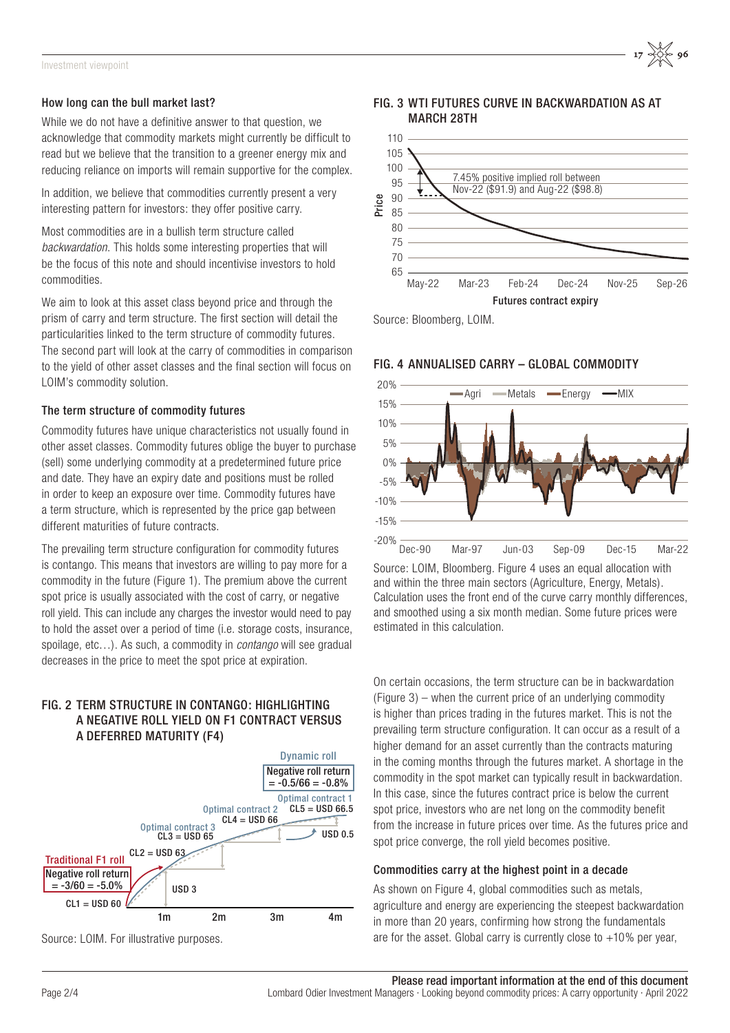#### How long can the bull market last?

While we do not have a definitive answer to that question, we acknowledge that commodity markets might currently be difficult to read but we believe that the transition to a greener energy mix and reducing reliance on imports will remain supportive for the complex.

In addition, we believe that commodities currently present a very interesting pattern for investors: they offer positive carry.

Most commodities are in a bullish term structure called *backwardation*. This holds some interesting properties that will be the focus of this note and should incentivise investors to hold commodities.

We aim to look at this asset class beyond price and through the prism of carry and term structure. The first section will detail the particularities linked to the term structure of commodity futures. The second part will look at the carry of commodities in comparison to the yield of other asset classes and the final section will focus on LOIM's commodity solution.

#### The term structure of commodity futures

Commodity futures have unique characteristics not usually found in other asset classes. Commodity futures oblige the buyer to purchase (sell) some underlying commodity at a predetermined future price and date. They have an expiry date and positions must be rolled in order to keep an exposure over time. Commodity futures have a term structure, which is represented by the price gap between different maturities of future contracts.

The prevailing term structure configuration for commodity futures is contango. This means that investors are willing to pay more for a commodity in the future (Figure 1). The premium above the current spot price is usually associated with the cost of carry, or negative roll yield. This can include any charges the investor would need to pay to hold the asset over a period of time (i.e. storage costs, insurance, spoilage, etc…). As such, a commodity in *contango* will see gradual decreases in the price to meet the spot price at expiration.

#### FIG. 2 TERM STRUCTURE IN CONTANGO: HIGHLIGHTING A NEGATIVE ROLL YIELD ON F1 CONTRACT VERSUS A DEFERRED MATURITY (F4)



Source: LOIM. For illustrative purposes.

FIG. 3 WTI FUTURES CURVE IN BACKWARDATION AS AT MARCH 28TH



Source: Bloomberg, LOIM.



FIG. 4 ANNUALISED CARRY – GLOBAL COMMODITY

Source: LOIM, Bloomberg. Figure 4 uses an equal allocation with and within the three main sectors (Agriculture, Energy, Metals). Calculation uses the front end of the curve carry monthly differences, and smoothed using a six month median. Some future prices were estimated in this calculation.

On certain occasions, the term structure can be in backwardation  $(Fi)$  – when the current price of an underlying commodity is higher than prices trading in the futures market. This is not the prevailing term structure configuration. It can occur as a result of a higher demand for an asset currently than the contracts maturing in the coming months through the futures market. A shortage in the commodity in the spot market can typically result in backwardation. In this case, since the futures contract price is below the current spot price, investors who are net long on the commodity benefit from the increase in future prices over time. As the futures price and spot price converge, the roll yield becomes positive.

#### Commodities carry at the highest point in a decade

As shown on Figure 4, global commodities such as metals, agriculture and energy are experiencing the steepest backwardation in more than 20 years, confirming how strong the fundamentals are for the asset. Global carry is currently close to  $+10\%$  per year,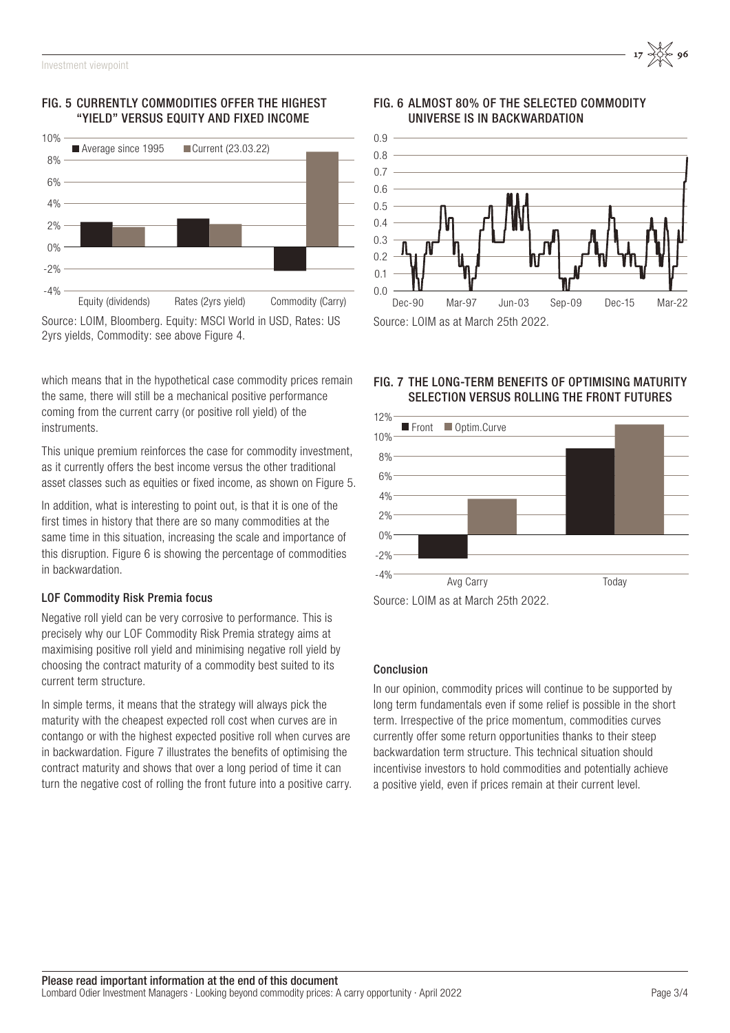# FIG. 5 CURRENTLY COMMODITIES OFFER THE HIGHEST "YIELD" VERSUS EQUITY AND FIXED INCOME



2yrs yields, Commodity: see above Figure 4.

which means that in the hypothetical case commodity prices remain the same, there will still be a mechanical positive performance coming from the current carry (or positive roll yield) of the instruments.

This unique premium reinforces the case for commodity investment. as it currently offers the best income versus the other traditional asset classes such as equities or fixed income, as shown on Figure 5.

In addition, what is interesting to point out, is that it is one of the first times in history that there are so many commodities at the same time in this situation, increasing the scale and importance of this disruption. Figure 6 is showing the percentage of commodities in backwardation.

# LOF Commodity Risk Premia focus

Negative roll yield can be very corrosive to performance. This is precisely why our LOF Commodity Risk Premia strategy aims at maximising positive roll yield and minimising negative roll yield by choosing the contract maturity of a commodity best suited to its current term structure.

In simple terms, it means that the strategy will always pick the maturity with the cheapest expected roll cost when curves are in contango or with the highest expected positive roll when curves are in backwardation. Figure 7 illustrates the benefits of optimising the contract maturity and shows that over a long period of time it can turn the negative cost of rolling the front future into a positive carry.





# FIG. 7 THE LONG-TERM BENEFITS OF OPTIMISING MATURITY SELECTION VERSUS ROLLING THE FRONT FUTURES



# Conclusion

In our opinion, commodity prices will continue to be supported by long term fundamentals even if some relief is possible in the short term. Irrespective of the price momentum, commodities curves currently offer some return opportunities thanks to their steep backwardation term structure. This technical situation should incentivise investors to hold commodities and potentially achieve a positive yield, even if prices remain at their current level.